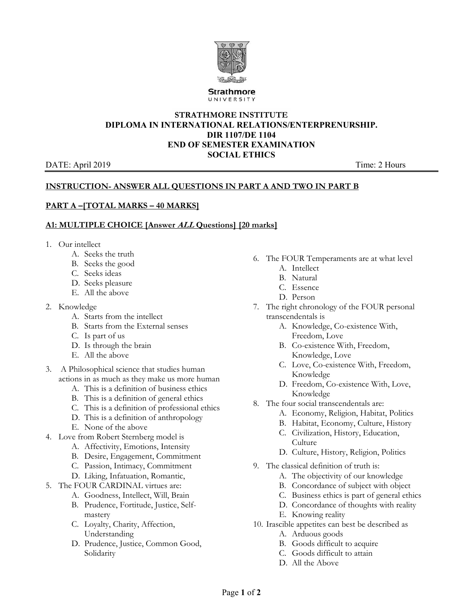

**Strathmore** UNIVERSITY

## **STRATHMORE INSTITUTE DIPLOMA IN INTERNATIONAL RELATIONS/ENTERPRENURSHIP. DIR 1107/DE 1104 END OF SEMESTER EXAMINATION SOCIAL ETHICS**

#### DATE: April 2019 Time: 2 Hours

# **INSTRUCTION- ANSWER ALL QUESTIONS IN PART A AND TWO IN PART B**

# **PART A –[TOTAL MARKS – 40 MARKS]**

## **A1: MULTIPLE CHOICE [Answer ALL Questions] [20 marks]**

- 1. Our intellect
	- A. Seeks the truth
	- B. Seeks the good
	- C. Seeks ideas
	- D. Seeks pleasure
	- E. All the above
- 2. Knowledge
	- A. Starts from the intellect
	- B. Starts from the External senses
	- C. Is part of us
	- D. Is through the brain
	- E. All the above
- 3. A Philosophical science that studies human actions in as much as they make us more human
	- A. This is a definition of business ethics
	- B. This is a definition of general ethics
	- C. This is a definition of professional ethics
	- D. This is a definition of anthropology
	- E. None of the above
- 4. Love from Robert Sternberg model is
	- A. Affectivity, Emotions, Intensity
	- B. Desire, Engagement, Commitment
	- C. Passion, Intimacy, Commitment
	- D. Liking, Infatuation, Romantic,
- 5. The FOUR CARDINAL virtues are:
	- A. Goodness, Intellect, Will, Brain
	- B. Prudence, Fortitude, Justice, Selfmastery
	- C. Loyalty, Charity, Affection, Understanding
	- D. Prudence, Justice, Common Good, Solidarity
- 6. The FOUR Temperaments are at what level A. Intellect
	- B. Natural
	-
	- C. Essence
	- D. Person
- 7. The right chronology of the FOUR personal transcendentals is
	- A. Knowledge, Co-existence With, Freedom, Love
	- B. Co-existence With, Freedom, Knowledge, Love
	- C. Love, Co-existence With, Freedom, Knowledge
	- D. Freedom, Co-existence With, Love, Knowledge
- 8. The four social transcendentals are:
	- A. Economy, Religion, Habitat, Politics
	- B. Habitat, Economy, Culture, History
	- C. Civilization, History, Education, **Culture**
	- D. Culture, History, Religion, Politics
- 9. The classical definition of truth is:
	- A. The objectivity of our knowledge
	- B. Concordance of subject with object
	- C. Business ethics is part of general ethics
	- D. Concordance of thoughts with reality
	- E. Knowing reality
- 10. Irascible appetites can best be described as
	- A. Arduous goods
	- B. Goods difficult to acquire
	- C. Goods difficult to attain
	- D. All the Above